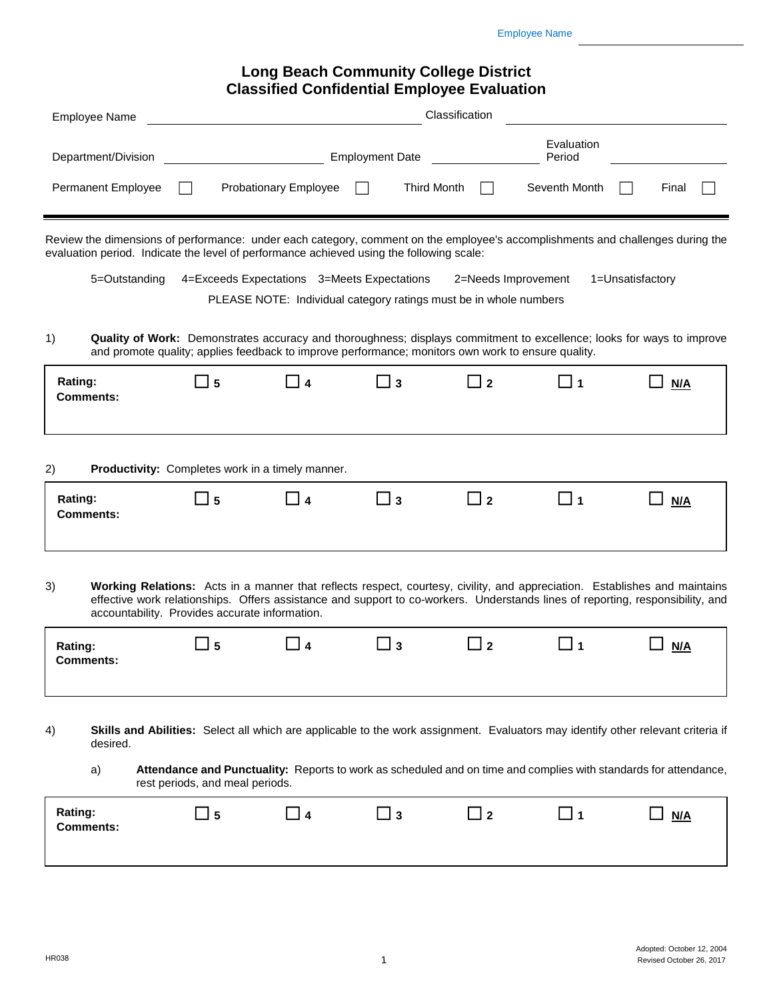## **Long Beach Community College District Classified Confidential Employee Evaluation**

| <b>Employee Name</b>                                                                                                                                                                                                                        |                                                                                                    |                       |                                             | Classification                                                                           |                      |                                                                                                                                                                                                                                                              |
|---------------------------------------------------------------------------------------------------------------------------------------------------------------------------------------------------------------------------------------------|----------------------------------------------------------------------------------------------------|-----------------------|---------------------------------------------|------------------------------------------------------------------------------------------|----------------------|--------------------------------------------------------------------------------------------------------------------------------------------------------------------------------------------------------------------------------------------------------------|
| Department/Division                                                                                                                                                                                                                         |                                                                                                    |                       | <b>Employment Date</b>                      |                                                                                          | Evaluation<br>Period |                                                                                                                                                                                                                                                              |
| Permanent Employee                                                                                                                                                                                                                          |                                                                                                    | Probationary Employee |                                             | <b>Third Month</b>                                                                       | Seventh Month        | Final                                                                                                                                                                                                                                                        |
| Review the dimensions of performance: under each category, comment on the employee's accomplishments and challenges during the<br>evaluation period. Indicate the level of performance achieved using the following scale:<br>5=Outstanding |                                                                                                    |                       | 4=Exceeds Expectations 3=Meets Expectations | 2=Needs Improvement<br>PLEASE NOTE: Individual category ratings must be in whole numbers |                      | 1=Unsatisfactory                                                                                                                                                                                                                                             |
| 1)                                                                                                                                                                                                                                          | and promote quality; applies feedback to improve performance; monitors own work to ensure quality. |                       |                                             |                                                                                          |                      | Quality of Work: Demonstrates accuracy and thoroughness; displays commitment to excellence; looks for ways to improve                                                                                                                                        |
| Rating:<br><b>Comments:</b>                                                                                                                                                                                                                 | 5                                                                                                  | $\overline{14}$       | _ з                                         | l 2                                                                                      | ∐ 1                  | N/A                                                                                                                                                                                                                                                          |
| 2)                                                                                                                                                                                                                                          | Productivity: Completes work in a timely manner.                                                   |                       |                                             |                                                                                          |                      |                                                                                                                                                                                                                                                              |
| Rating:<br><b>Comments:</b>                                                                                                                                                                                                                 | 5                                                                                                  | $\boldsymbol{4}$      | ⊿ 3                                         | 2 ב                                                                                      | $\sqcup$ 1           | N/A                                                                                                                                                                                                                                                          |
| 3)                                                                                                                                                                                                                                          | accountability. Provides accurate information.                                                     |                       |                                             |                                                                                          |                      | Working Relations: Acts in a manner that reflects respect, courtesy, civility, and appreciation. Establishes and maintains<br>effective work relationships. Offers assistance and support to co-workers. Understands lines of reporting, responsibility, and |
| Rating:<br>Comments:                                                                                                                                                                                                                        | 5                                                                                                  |                       | $\mathbf{3}$                                | $\perp$ 2                                                                                | $\blacktriangleleft$ | N/A                                                                                                                                                                                                                                                          |
| 4)<br>desired.                                                                                                                                                                                                                              |                                                                                                    |                       |                                             |                                                                                          |                      | <b>Skills and Abilities:</b> Select all which are applicable to the work assignment. Evaluators may identify other relevant criteria if                                                                                                                      |
| a)                                                                                                                                                                                                                                          | rest periods, and meal periods.                                                                    |                       |                                             |                                                                                          |                      | Attendance and Punctuality: Reports to work as scheduled and on time and complies with standards for attendance,                                                                                                                                             |
| Rating:<br><b>Comments:</b>                                                                                                                                                                                                                 | 5 ل                                                                                                | $\boldsymbol{4}$      | ∐ з                                         | $\sqcup$ 2                                                                               | L 1                  | N/A                                                                                                                                                                                                                                                          |
|                                                                                                                                                                                                                                             |                                                                                                    |                       |                                             |                                                                                          |                      |                                                                                                                                                                                                                                                              |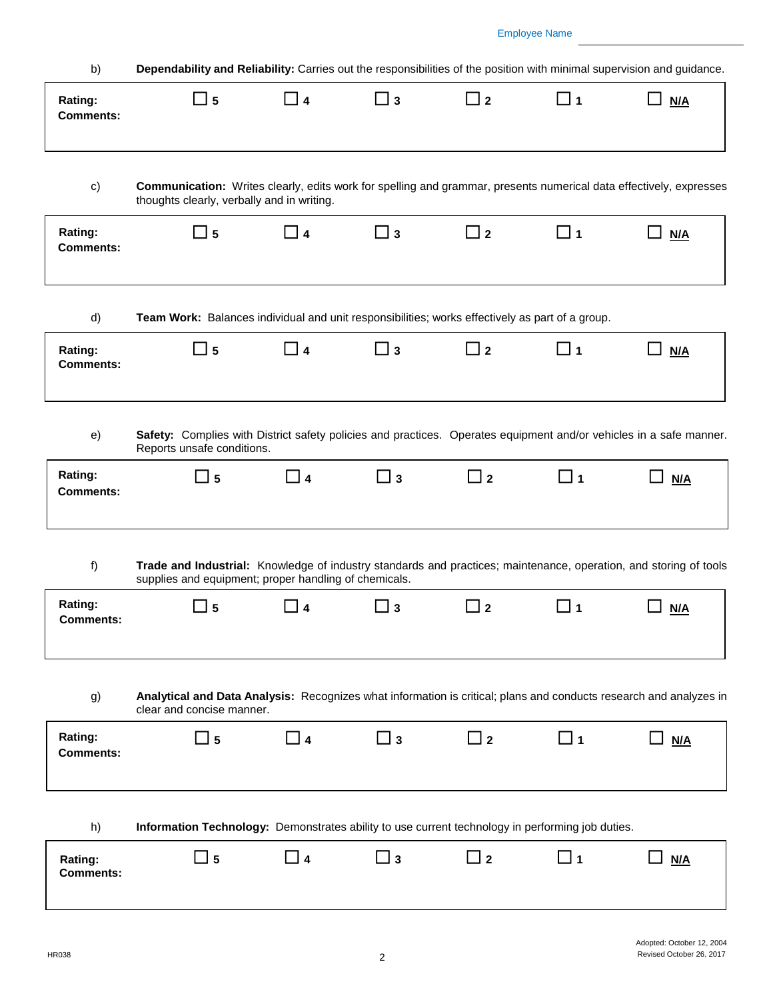| b)                          | Dependability and Reliability: Carries out the responsibilities of the position with minimal supervision and guidance.                                                     |                     |             |                            |             |            |
|-----------------------------|----------------------------------------------------------------------------------------------------------------------------------------------------------------------------|---------------------|-------------|----------------------------|-------------|------------|
| Rating:<br><b>Comments:</b> | $\Box$ 5                                                                                                                                                                   | □ 4                 | <b>∟</b> з  | $\sqcup$ 2                 | □ 1         | M/A        |
| c)                          | Communication: Writes clearly, edits work for spelling and grammar, presents numerical data effectively, expresses<br>thoughts clearly, verbally and in writing.           |                     |             |                            |             |            |
| Rating:<br><b>Comments:</b> | $\square$ 5                                                                                                                                                                | $\Box$ 4            | $\square$ 3 | $\Box$ 2                   | $\square$ 1 | - 1<br>N/A |
| d)                          | Team Work: Balances individual and unit responsibilities; works effectively as part of a group.                                                                            |                     |             |                            |             |            |
| Rating:<br><b>Comments:</b> | $\_15$                                                                                                                                                                     | $\Box$ 4            | ∐ з         | ⊿ 2                        | $\square$ 1 | M/A        |
| e)                          | Safety: Complies with District safety policies and practices. Operates equipment and/or vehicles in a safe manner.<br>Reports unsafe conditions.                           |                     |             |                            |             |            |
| Rating:<br><b>Comments:</b> | $\square$ 5                                                                                                                                                                | $\Box$ 4            | $\Box$ 3    | $\Box$ 2                   | $\square$ 1 | M/A        |
| f)                          | Trade and Industrial: Knowledge of industry standards and practices; maintenance, operation, and storing of tools<br>supplies and equipment; proper handling of chemicals. |                     |             |                            |             |            |
| Rating:<br><b>Comments:</b> | ⊿ 5                                                                                                                                                                        | $\overline{\bf{4}}$ | 3           | $\overline{\phantom{a}}$ 2 | □ 1         | N/A        |
| g)                          | Analytical and Data Analysis: Recognizes what information is critical; plans and conducts research and analyzes in<br>clear and concise manner.                            |                     |             |                            |             |            |
| Rating:<br><b>Comments:</b> | $\sqcup$ 5                                                                                                                                                                 | $\Box$ 4            | $\Box$ 3    | $\Box$ 2                   | $\Box$ 1    | M/A        |
| h)                          | Information Technology: Demonstrates ability to use current technology in performing job duties.                                                                           |                     |             |                            |             |            |
| Rating:<br><b>Comments:</b> | 5 ل                                                                                                                                                                        | 1 <i>4</i>          | _  3        | $\overline{\phantom{a}}$ 2 | □ 1         | N/A        |
|                             |                                                                                                                                                                            |                     |             |                            |             |            |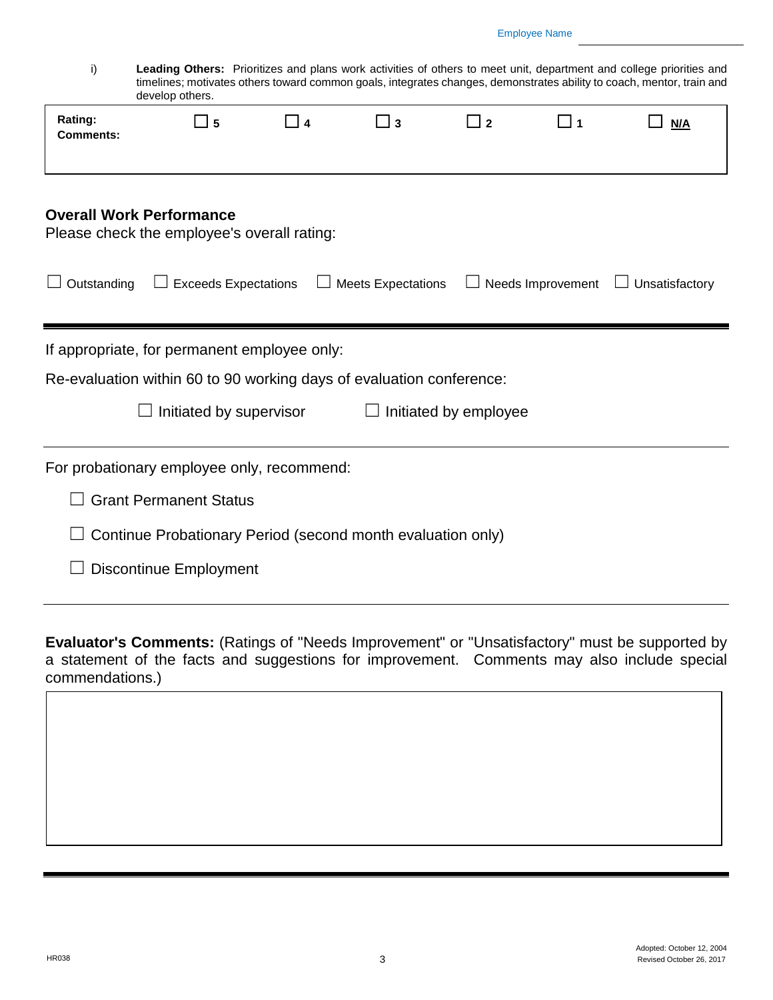## Employee Name

i) **Leading Others:** Prioritizes and plans work activities of others to meet unit, department and college priorities and timelines; motivates others toward common goals, integrates changes, demonstrates ability to coach, mentor, train and develop others.

|                                                                                                                      | develop others.                             |           |                           |     |     |                                                |
|----------------------------------------------------------------------------------------------------------------------|---------------------------------------------|-----------|---------------------------|-----|-----|------------------------------------------------|
| Rating:<br><b>Comments:</b>                                                                                          | 5 ك                                         | <b>14</b> | $\sqcup$ 3                | □ 2 | ן [ | N/A                                            |
| <b>Overall Work Performance</b>                                                                                      | Please check the employee's overall rating: |           |                           |     |     |                                                |
| Outstanding                                                                                                          | $\Box$ Exceeds Expectations                 |           | <b>Meets Expectations</b> |     |     | $\Box$ Needs Improvement $\Box$ Unsatisfactory |
| If appropriate, for permanent employee only:<br>Re-evaluation within 60 to 90 working days of evaluation conference: |                                             |           |                           |     |     |                                                |
| Initiated by supervisor<br>Initiated by employee                                                                     |                                             |           |                           |     |     |                                                |
|                                                                                                                      | For probationary employee only, recommend:  |           |                           |     |     |                                                |
| <b>Grant Permanent Status</b>                                                                                        |                                             |           |                           |     |     |                                                |
| Continue Probationary Period (second month evaluation only)                                                          |                                             |           |                           |     |     |                                                |
| <b>Discontinue Employment</b>                                                                                        |                                             |           |                           |     |     |                                                |
|                                                                                                                      |                                             |           |                           |     |     |                                                |

**Evaluator's Comments:** (Ratings of "Needs Improvement" or "Unsatisfactory" must be supported by a statement of the facts and suggestions for improvement. Comments may also include special commendations.)